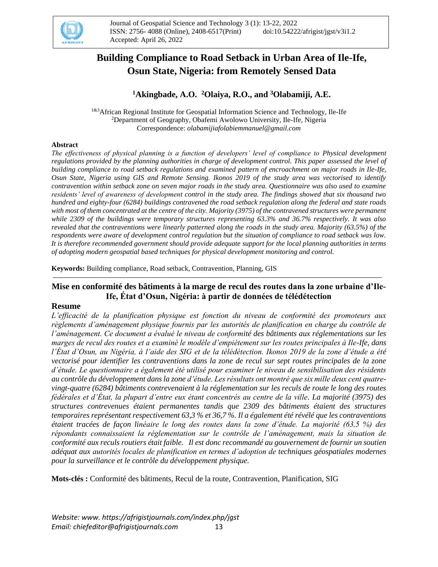

# **Building Compliance to Road Setback in Urban Area of Ile-Ife, Osun State, Nigeria: from Remotely Sensed Data**

## **<sup>1</sup>Akingbade, A.O. <sup>2</sup>Olaiya, R.O., and <sup>3</sup>Olabamiji, A.E.**

1&3African Regional Institute for Geospatial Information Science and Technology, Ile-Ife <sup>2</sup>Department of Geography, Obafemi Awolowo University, Ile-Ife, Nigeria Correspondence: *olabamijiafolabiemmanuel@gmail.com*

#### **Abstract**

*The effectiveness of physical planning is a function of developers' level of compliance to Physical development regulations provided by the planning authorities in charge of development control. This paper assessed the level of building compliance to road setback regulations and examined pattern of encroachment on major roads in Ile-Ife, Osun State, Nigeria using GIS and Remote Sensing. Ikonos 2019 of the study area was vectorised to identify contravention within setback zone on seven major roads in the study area. Questionnaire was also used to examine residents' level of awareness of development control in the study area. The findings showed that six thousand two hundred and eighty-four (6284) buildings contravened the road setback regulation along the federal and state roads with most of them concentrated at the centre of the city. Majority (3975) of the contravened structures were permanent while 2309 of the buildings were temporary structures representing 63.3% and 36.7% respectively. It was also revealed that the contraventions were linearly patterned along the roads in the study area. Majority (63.5%) of the respondents were aware of development control regulation but the situation of compliance to road setback was low. It is therefore recommended government should provide adequate support for the local planning authorities in terms of adopting modern geospatial based techniques for physical development monitoring and control.*

**Keywords:** Building compliance, Road setback, Contravention, Planning, GIS

### **Mise en conformité des bâtiments à la marge de recul des routes dans la zone urbaine d'Ile-Ife, État d'Osun, Nigéria: à partir de données de télédétection**

#### **Resume**

*L'efficacité de la planification physique est fonction du niveau de conformité des promoteurs aux règlements d'aménagement physique fournis par les autorités de planification en charge du contrôle de l'aménagement. Ce document a évalué le niveau de conformité des bâtiments aux réglementations sur les marges de recul des routes et a examiné le modèle d'empiètement sur les routes principales à Ile-Ife, dans l'État d'Osun, au Nigéria, à l'aide des SIG et de la télédétection. Ikonos 2019 de la zone d'étude a été vectorisé pour identifier les contraventions dans la zone de recul sur sept routes principales de la zone d'étude. Le questionnaire a également été utilisé pour examiner le niveau de sensibilisation des résidents au contrôle du développement dans la zone d'étude. Les résultats ont montré que six mille deux cent quatrevingt-quatre (6284) bâtiments contrevenaient à la réglementation sur les reculs de route le long des routes fédérales et d'État, la plupart d'entre eux étant concentrés au centre de la ville. La majorité (3975) des structures contrevenues étaient permanentes tandis que 2309 des bâtiments étaient des structures temporaires représentant respectivement 63,3 % et 36,7 %. Il a également été révélé que les contraventions étaient tracées de façon linéaire le long des routes dans la zone d'étude. La majorité (63,5 %) des répondants connaissaient la réglementation sur le contrôle de l'aménagement, mais la situation de conformité aux reculs routiers était faible. Il est donc recommandé au gouvernement de fournir un soutien adéquat aux autorités locales de planification en termes d'adoption de techniques géospatiales modernes pour la surveillance et le contrôle du développement physique.*

**Mots-clés :** Conformité des bâtiments, Recul de la route, Contravention, Planification, SIG

*Website: www. https://afrigistjournals.com/index.php/jgst Email: chiefeditor@afrigistjournals.com* 13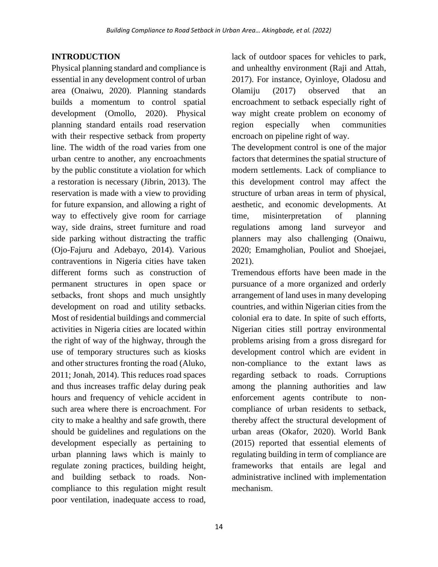## **INTRODUCTION**

Physical planning standard and compliance is essential in any development control of urban area (Onaiwu, 2020). Planning standards builds a momentum to control spatial development (Omollo, 2020). Physical planning standard entails road reservation with their respective setback from property line. The width of the road varies from one urban centre to another, any encroachments by the public constitute a violation for which a restoration is necessary (Jibrin, 2013). The reservation is made with a view to providing for future expansion, and allowing a right of way to effectively give room for carriage way, side drains, street furniture and road side parking without distracting the traffic (Ojo-Fajuru and Adebayo, 2014). Various contraventions in Nigeria cities have taken different forms such as construction of permanent structures in open space or setbacks, front shops and much unsightly development on road and utility setbacks. Most of residential buildings and commercial activities in Nigeria cities are located within the right of way of the highway, through the use of temporary structures such as kiosks and other structures fronting the road (Aluko, 2011; Jonah, 2014). This reduces road spaces and thus increases traffic delay during peak hours and frequency of vehicle accident in such area where there is encroachment. For city to make a healthy and safe growth, there should be guidelines and regulations on the development especially as pertaining to urban planning laws which is mainly to regulate zoning practices, building height, and building setback to roads. Noncompliance to this regulation might result poor ventilation, inadequate access to road,

lack of outdoor spaces for vehicles to park, and unhealthy environment (Raji and Attah, 2017). For instance, Oyinloye, Oladosu and Olamiju (2017) observed that an encroachment to setback especially right of way might create problem on economy of region especially when communities encroach on pipeline right of way.

The development control is one of the major factors that determines the spatial structure of modern settlements. Lack of compliance to this development control may affect the structure of urban areas in term of physical, aesthetic, and economic developments. At time, misinterpretation of planning regulations among land surveyor and planners may also challenging (Onaiwu, 2020; Emamgholian, Pouliot and Shoejaei, 2021).

Tremendous efforts have been made in the pursuance of a more organized and orderly arrangement of land uses in many developing countries, and within Nigerian cities from the colonial era to date. In spite of such efforts, Nigerian cities still portray environmental problems arising from a gross disregard for development control which are evident in non-compliance to the extant laws as regarding setback to roads. Corruptions among the planning authorities and law enforcement agents contribute to noncompliance of urban residents to setback, thereby affect the structural development of urban areas (Okafor, 2020). World Bank (2015) reported that essential elements of regulating building in term of compliance are frameworks that entails are legal and administrative inclined with implementation mechanism.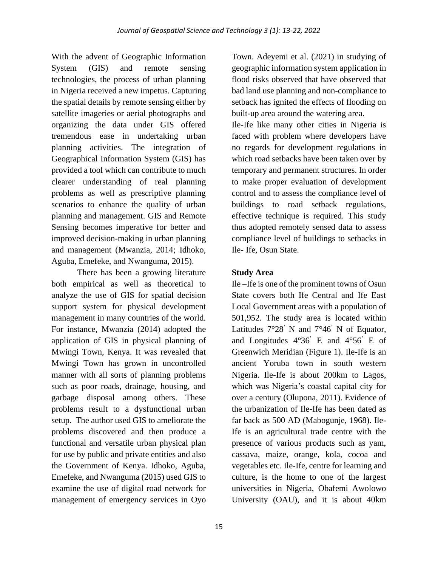With the advent of Geographic Information System (GIS) and remote sensing technologies, the process of urban planning in Nigeria received a new impetus. Capturing the spatial details by remote sensing either by satellite imageries or aerial photographs and organizing the data under GIS offered tremendous ease in undertaking urban planning activities. The integration of Geographical Information System (GIS) has provided a tool which can contribute to much clearer understanding of real planning problems as well as prescriptive planning scenarios to enhance the quality of urban planning and management. GIS and Remote Sensing becomes imperative for better and improved decision-making in urban planning and management (Mwanzia, 2014; Idhoko, Aguba, Emefeke, and Nwanguma, 2015).

There has been a growing literature both empirical as well as theoretical to analyze the use of GIS for spatial decision support system for physical development management in many countries of the world. For instance, Mwanzia (2014) adopted the application of GIS in physical planning of Mwingi Town, Kenya. It was revealed that Mwingi Town has grown in uncontrolled manner with all sorts of planning problems such as poor roads, drainage, housing, and garbage disposal among others. These problems result to a dysfunctional urban setup. The author used GIS to ameliorate the problems discovered and then produce a functional and versatile urban physical plan for use by public and private entities and also the Government of Kenya. Idhoko, Aguba, Emefeke, and Nwanguma (2015) used GIS to examine the use of digital road network for management of emergency services in Oyo

Town. Adeyemi et al. (2021) in studying of geographic information system application in flood risks observed that have observed that bad land use planning and non-compliance to setback has ignited the effects of flooding on built-up area around the watering area.

Ile-Ife like many other cities in Nigeria is faced with problem where developers have no regards for development regulations in which road setbacks have been taken over by temporary and permanent structures. In order to make proper evaluation of development control and to assess the compliance level of buildings to road setback regulations, effective technique is required. This study thus adopted remotely sensed data to assess compliance level of buildings to setbacks in Ile- Ife, Osun State.

## **Study Area**

Ile –Ife is one of the prominent towns of Osun State covers both Ife Central and Ife East Local Government areas with a population of 501,952. The study area is located within Latitudes  $7^{\circ}28'$  N and  $7^{\circ}46'$  N of Equator, and Longitudes 4°36' E and 4°56' E of Greenwich Meridian (Figure 1). Ile-Ife is an ancient Yoruba town in south western Nigeria. Ile-Ife is about 200km to Lagos, which was Nigeria's coastal capital city for over a century (Olupona, 2011). Evidence of the urbanization of Ile-Ife has been dated as far back as 500 AD (Mabogunje, 1968). Ile-Ife is an agricultural trade centre with the presence of various products such as yam, cassava, maize, orange, kola, cocoa and vegetables etc. Ile-Ife, centre for learning and culture, is the home to one of the largest universities in Nigeria, Obafemi Awolowo University (OAU), and it is about 40km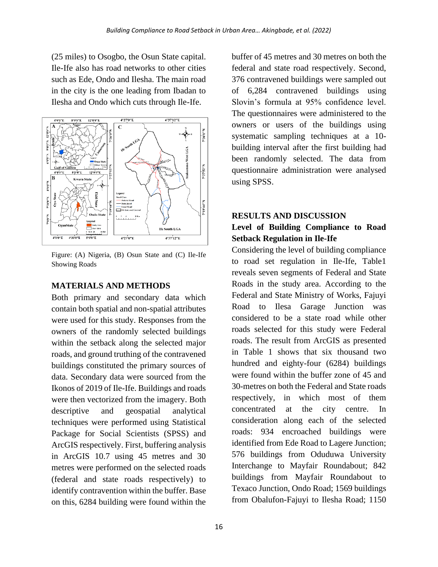(25 miles) to Osogbo, the Osun State capital. Ile-Ife also has road networks to other cities such as Ede, Ondo and Ilesha. The main road in the city is the one leading from Ibadan to Ilesha and Ondo which cuts through Ile-Ife.



Figure: (A) Nigeria, (B) Osun State and (C) Ile-Ife Showing Roads

### **MATERIALS AND METHODS**

Both primary and secondary data which contain both spatial and non-spatial attributes were used for this study. Responses from the owners of the randomly selected buildings within the setback along the selected major roads, and ground truthing of the contravened buildings constituted the primary sources of data. Secondary data were sourced from the Ikonos of 2019 of Ile-Ife. Buildings and roads were then vectorized from the imagery. Both descriptive and geospatial analytical techniques were performed using Statistical Package for Social Scientists (SPSS) and ArcGIS respectively. First, buffering analysis in ArcGIS 10.7 using 45 metres and 30 metres were performed on the selected roads (federal and state roads respectively) to identify contravention within the buffer. Base on this, 6284 building were found within the

buffer of 45 metres and 30 metres on both the federal and state road respectively. Second, 376 contravened buildings were sampled out of 6,284 contravened buildings using Slovin's formula at 95% confidence level. The questionnaires were administered to the owners or users of the buildings using systematic sampling techniques at a 10 building interval after the first building had been randomly selected. The data from questionnaire administration were analysed using SPSS.

## **RESULTS AND DISCUSSION**

## **Level of Building Compliance to Road Setback Regulation in Ile-Ife**

Considering the level of building compliance to road set regulation in Ile-Ife, Table1 reveals seven segments of Federal and State Roads in the study area. According to the Federal and State Ministry of Works, Fajuyi Road to Ilesa Garage Junction was considered to be a state road while other roads selected for this study were Federal roads. The result from ArcGIS as presented in Table 1 shows that six thousand two hundred and eighty-four (6284) buildings were found within the buffer zone of 45 and 30-metres on both the Federal and State roads respectively, in which most of them concentrated at the city centre. In consideration along each of the selected roads: 934 encroached buildings were identified from Ede Road to Lagere Junction; 576 buildings from Oduduwa University Interchange to Mayfair Roundabout; 842 buildings from Mayfair Roundabout to Texaco Junction, Ondo Road; 1569 buildings from Obalufon-Fajuyi to Ilesha Road; 1150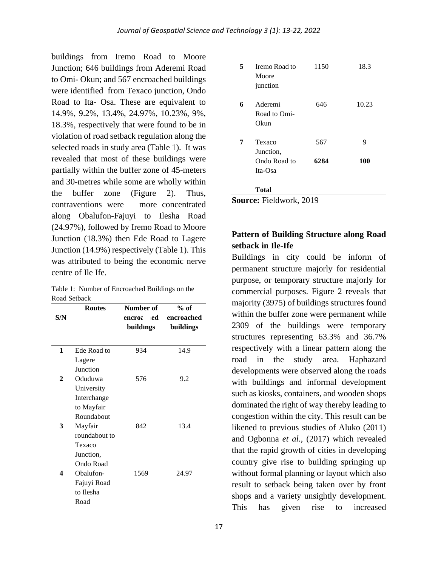buildings from Iremo Road to Moore Junction; 646 buildings from Aderemi Road to Omi- Okun; and 567 encroached buildings were identified from Texaco junction, Ondo Road to Ita- Osa. These are equivalent to 14.9%, 9.2%, 13.4%, 24.97%, 10.23%, 9%, 18.3%, respectively that were found to be in violation of road setback regulation along the selected roads in study area (Table 1). It was revealed that most of these buildings were partially within the buffer zone of 45-meters and 30-metres while some are wholly within the buffer zone (Figure 2). Thus, contraventions were more concentrated along Obalufon-Fajuyi to Ilesha Road (24.97%), followed by Iremo Road to Moore Junction (18.3%) then Ede Road to Lagere Junction (14.9%) respectively (Table 1). This was attributed to being the economic nerve centre of Ile Ife.

Table 1: Number of Encroached Buildings on the Road Setback

|              | <b>Routes</b> | Number of     | $%$ of     |
|--------------|---------------|---------------|------------|
| S/N          |               | ied<br>encroa | encroached |
|              |               | buildings     | buildings  |
|              |               |               |            |
| $\mathbf{1}$ | Ede Road to   | 934           | 14.9       |
|              | Lagere        |               |            |
|              | Junction      |               |            |
| 2            | Oduduwa       | 576           | 9.2        |
|              | University    |               |            |
|              | Interchange   |               |            |
|              | to Mayfair    |               |            |
|              | Roundabout    |               |            |
| 3            | Mayfair       | 842           | 13.4       |
|              | roundabout to |               |            |
|              | Texaco        |               |            |
|              | Junction,     |               |            |
|              | Ondo Road     |               |            |
| 4            | Obalufon-     | 1569          | 24.97      |
|              | Fajuyi Road   |               |            |
|              | to Ilesha     |               |            |
|              | Road          |               |            |
|              |               |               |            |

| 5 | Iremo Road to<br>Moore<br>junction             | 1150        | 18.3     |
|---|------------------------------------------------|-------------|----------|
| 6 | Aderemi<br>Road to Omi-<br>Okun                | 646         | 10.23    |
| 7 | Texaco<br>Junction,<br>Ondo Road to<br>Ita-Osa | 567<br>6284 | 9<br>100 |
|   | Total                                          |             |          |

**Source:** Fieldwork, 2019

## **Pattern of Building Structure along Road setback in Ile-Ife**

Buildings in city could be inform of permanent structure majorly for residential purpose, or temporary structure majorly for commercial purposes. Figure 2 reveals that majority (3975) of buildings structures found within the buffer zone were permanent while 2309 of the buildings were temporary structures representing 63.3% and 36.7% respectively with a linear pattern along the road in the study area. Haphazard developments were observed along the roads with buildings and informal development such as kiosks, containers, and wooden shops dominated the right of way thereby leading to congestion within the city. This result can be likened to previous studies of Aluko (2011) and Ogbonna *et al.,* (2017) which revealed that the rapid growth of cities in developing country give rise to building springing up without formal planning or layout which also result to setback being taken over by front shops and a variety unsightly development. This has given rise to increased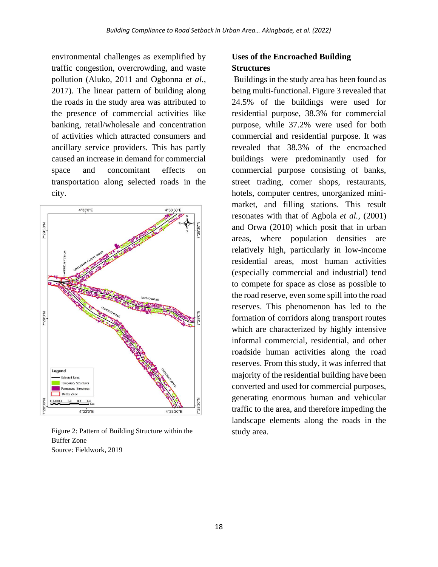environmental challenges as exemplified by traffic congestion, overcrowding, and waste pollution (Aluko, 2011 and Ogbonna *et al.,* 2017). The linear pattern of building along the roads in the study area was attributed to the presence of commercial activities like banking, retail/wholesale and concentration of activities which attracted consumers and ancillary service providers. This has partly caused an increase in demand for commercial space and concomitant effects on transportation along selected roads in the city.



Figure 2: Pattern of Building Structure within the Buffer Zone Source: Fieldwork, 2019

## **Uses of the Encroached Building Structures**

Buildings in the study area has been found as being multi-functional. Figure 3 revealed that 24.5% of the buildings were used for residential purpose, 38.3% for commercial purpose, while 37.2% were used for both commercial and residential purpose. It was revealed that 38.3% of the encroached buildings were predominantly used for commercial purpose consisting of banks, street trading, corner shops, restaurants, hotels, computer centres, unorganized minimarket, and filling stations. This result resonates with that of Agbola *et al.,* (2001) and Orwa (2010) which posit that in urban areas, where population densities are relatively high, particularly in low-income residential areas, most human activities (especially commercial and industrial) tend to compete for space as close as possible to the road reserve, even some spill into the road reserves. This phenomenon has led to the formation of corridors along transport routes which are characterized by highly intensive informal commercial, residential, and other roadside human activities along the road reserves. From this study, it was inferred that majority of the residential building have been converted and used for commercial purposes, generating enormous human and vehicular traffic to the area, and therefore impeding the landscape elements along the roads in the study area.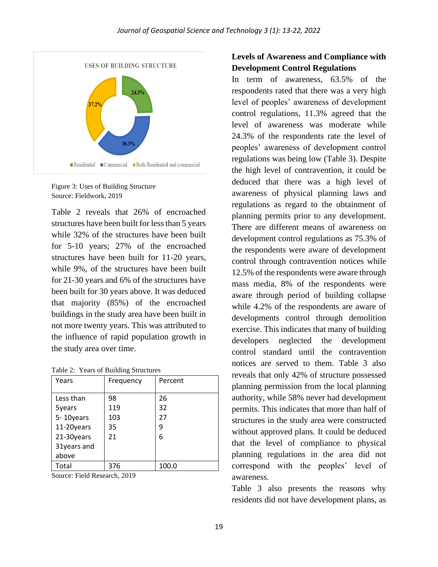

Figure 3: Uses of Building Structure Source: Fieldwork, 2019

Table 2 reveals that 26% of encroached structures have been built for less than 5 years while 32% of the structures have been built for 5-10 years; 27% of the encroached structures have been built for 11-20 years, while 9%, of the structures have been built for 21-30 years and 6% of the structures have been built for 30 years above. It was deduced that majority (85%) of the encroached buildings in the study area have been built in not more twenty years. This was attributed to the influence of rapid population growth in the study area over time.

Table 2: Years of Building Structures

| Years       | Frequency | Percent |
|-------------|-----------|---------|
|             |           |         |
| Less than   | 98        | 26      |
| 5years      | 119       | 32      |
| 5-10years   | 103       | 27      |
| 11-20years  | 35        | 9       |
| 21-30years  | 21        | 6       |
| 31years and |           |         |
| above       |           |         |
| Total       | 376       | 100.0   |

Source: Field Research, 2019

## **Levels of Awareness and Compliance with Development Control Regulations**

In term of awareness, 63.5% of the respondents rated that there was a very high level of peoples' awareness of development control regulations, 11.3% agreed that the level of awareness was moderate while 24.3% of the respondents rate the level of peoples' awareness of development control regulations was being low (Table 3). Despite the high level of contravention, it could be deduced that there was a high level of awareness of physical planning laws and regulations as regard to the obtainment of planning permits prior to any development. There are different means of awareness on development control regulations as 75.3% of the respondents were aware of development control through contravention notices while 12.5% of the respondents were aware through mass media, 8% of the respondents were aware through period of building collapse while 4.2% of the respondents are aware of developments control through demolition exercise. This indicates that many of building developers neglected the development control standard until the contravention notices are served to them. Table 3 also reveals that only 42% of structure possessed planning permission from the local planning authority, while 58% never had development permits. This indicates that more than half of structures in the study area were constructed without approved plans. It could be deduced that the level of compliance to physical planning regulations in the area did not correspond with the peoples' level of awareness.

Table 3 also presents the reasons why residents did not have development plans, as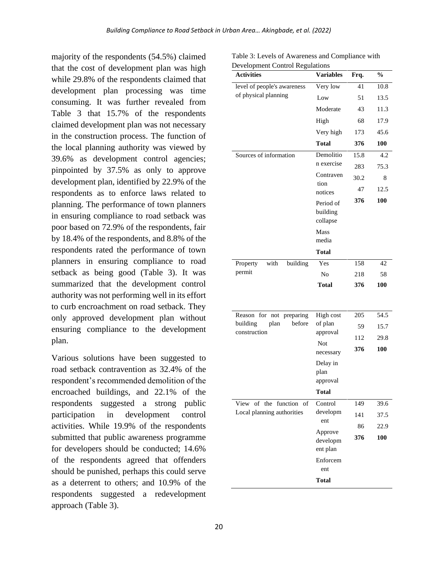majority of the respondents (54.5%) claimed that the cost of development plan was high while 29.8% of the respondents claimed that development plan processing was time consuming. It was further revealed from Table 3 that 15.7% of the respondents claimed development plan was not necessary in the construction process. The function of the local planning authority was viewed by 39.6% as development control agencies; pinpointed by 37.5% as only to approve development plan, identified by 22.9% of the respondents as to enforce laws related to planning. The performance of town planners in ensuring compliance to road setback was poor based on 72.9% of the respondents, fair by 18.4% of the respondents, and 8.8% of the respondents rated the performance of town planners in ensuring compliance to road setback as being good (Table 3). It was summarized that the development control authority was not performing well in its effort to curb encroachment on road setback. They only approved development plan without ensuring compliance to the development plan.

Various solutions have been suggested to road setback contravention as 32.4% of the respondent's recommended demolition of the encroached buildings, and 22.1% of the respondents suggested a strong public participation in development control activities. While 19.9% of the respondents submitted that public awareness programme for developers should be conducted; 14.6% of the respondents agreed that offenders should be punished, perhaps this could serve as a deterrent to others; and 10.9% of the respondents suggested a redevelopment approach (Table 3).

Table 3: Levels of Awareness and Compliance with Development Control Regulations

| <b>Activities</b>                      | <b>Variables</b>                                        | Frq. | $\frac{0}{0}$ |
|----------------------------------------|---------------------------------------------------------|------|---------------|
| level of people's awareness            | Very low                                                | 41   | 10.8          |
| of physical planning                   | Low                                                     | 51   | 13.5          |
|                                        | Moderate                                                | 43   | 11.3          |
|                                        | High                                                    | 68   | 17.9          |
|                                        | Very high                                               | 173  | 45.6          |
|                                        | Total                                                   | 376  | 100           |
| Sources of information                 | Demolitio<br>n exercise<br>Contraven<br>tion<br>notices | 15.8 | 4.2           |
|                                        |                                                         | 283  | 75.3          |
|                                        |                                                         | 30.2 | 8             |
|                                        |                                                         | 47   | 12.5          |
|                                        | Period of<br>building                                   | 376  | 100           |
|                                        |                                                         |      |               |
|                                        | collapse                                                |      |               |
|                                        | Mass                                                    |      |               |
|                                        | media                                                   |      |               |
|                                        | <b>Total</b>                                            |      |               |
| with<br>building<br>Property<br>permit | Yes                                                     | 158  | 42            |
|                                        | No                                                      | 218  | 58            |
|                                        | <b>Total</b>                                            | 376  | 100           |
|                                        |                                                         |      |               |
| Reason for not<br>preparing            | High cost                                               | 205  | 54.5          |
| building<br>plan<br>before             | of plan<br>approval<br>Not                              | 59   | 15.7          |
| construction                           |                                                         | 112  | 29.8          |
|                                        |                                                         | 376  | 100           |
|                                        | necessary                                               |      |               |
|                                        | Delay in<br>plan                                        |      |               |
|                                        | approval                                                |      |               |
|                                        | <b>Total</b>                                            |      |               |
| View of the function of                | Control<br>developm<br>ent                              | 149  | 39.6          |
| Local planning authorities             |                                                         | 141  | 37.5          |
|                                        |                                                         | 86   | 22.9          |
|                                        | Approve<br>developm                                     | 376  | 100           |
|                                        | ent plan                                                |      |               |
|                                        | Enforcem                                                |      |               |
|                                        | ent                                                     |      |               |
|                                        | Total                                                   |      |               |
|                                        |                                                         |      |               |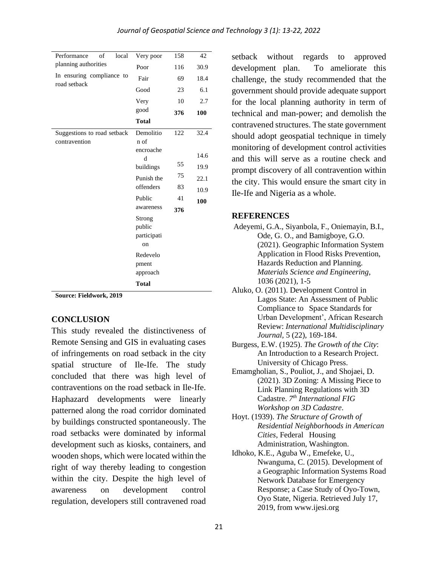| of<br>local<br>Performance                | Very poor         | 158 | 42   |
|-------------------------------------------|-------------------|-----|------|
| planning authorities                      | Poor              | 116 | 30.9 |
| In ensuring compliance to<br>road setback | Fair              | 69  | 18.4 |
|                                           | Good              | 23  | 6.1  |
|                                           | Very              | 10  | 2.7  |
|                                           | good              | 376 | 100  |
|                                           | <b>Total</b>      |     |      |
| Suggestions to road setback               | Demolitio         | 122 | 32.4 |
| contravention                             | n of              |     |      |
|                                           | encroache<br>d    |     | 14.6 |
|                                           | buildings         | 55  | 19.9 |
|                                           | Punish the        | 75  | 22.1 |
|                                           | offenders         | 83  | 10.9 |
|                                           | Public            | 41  | 100  |
|                                           | awareness         | 376 |      |
|                                           | Strong            |     |      |
|                                           | public            |     |      |
|                                           | participati<br>on |     |      |
|                                           | Redevelo          |     |      |
|                                           | pment             |     |      |
|                                           | approach          |     |      |
|                                           | <b>Total</b>      |     |      |
|                                           |                   |     |      |

**Source: Fieldwork, 2019**

### **CONCLUSION**

This study revealed the distinctiveness of Remote Sensing and GIS in evaluating cases of infringements on road setback in the city spatial structure of Ile-Ife. The study concluded that there was high level of contraventions on the road setback in Ile-Ife. Haphazard developments were linearly patterned along the road corridor dominated by buildings constructed spontaneously. The road setbacks were dominated by informal development such as kiosks, containers, and wooden shops, which were located within the right of way thereby leading to congestion within the city. Despite the high level of awareness on development control regulation, developers still contravened road

setback without regards to approved development plan. To ameliorate this challenge, the study recommended that the government should provide adequate support for the local planning authority in term of technical and man-power; and demolish the contravened structures. The state government should adopt geospatial technique in timely monitoring of development control activities and this will serve as a routine check and prompt discovery of all contravention within the city. This would ensure the smart city in Ile-Ife and Nigeria as a whole.

#### **REFERENCES**

- Adeyemi, G.A., Siyanbola, F., Oniemayin, B.I., Ode, G. O., and Bamigboye, G.O. (2021). Geographic Information System Application in Flood Risks Prevention, Hazards Reduction and Planning. *Materials Science and Engineering,* 1036 (2021), 1-5
- Aluko, O. (2011). Development Control in Lagos State: An Assessment of Public Compliance to Space Standards for Urban Development', African Research Review: *International Multidisciplinary Journal,* 5 (22), 169-184.
- Burgess, E.W. (1925). *The Growth of the City*: An Introduction to a Research Project. University of Chicago Press.
- Emamgholian, S., Pouliot, J., and Shojaei, D. (2021). 3D Zoning: A Missing Piece to Link Planning Regulations with 3D Cadastre. *7 th International FIG Workshop on 3D Cadastre*.
- Hoyt. (1939). *The Structure of Growth of Residential Neighborhoods in American Cities*, Federal Housing Administration, Washington.
- Idhoko, K.E., Aguba W., Emefeke, U., Nwanguma, C. (2015). Development of a Geographic Information Systems Road Network Database for Emergency Response; a Case Study of Oyo-Town, Oyo State, Nigeria. Retrieved July 17, 2019, from [www.ijesi.org](http://www.ijesi.org/)